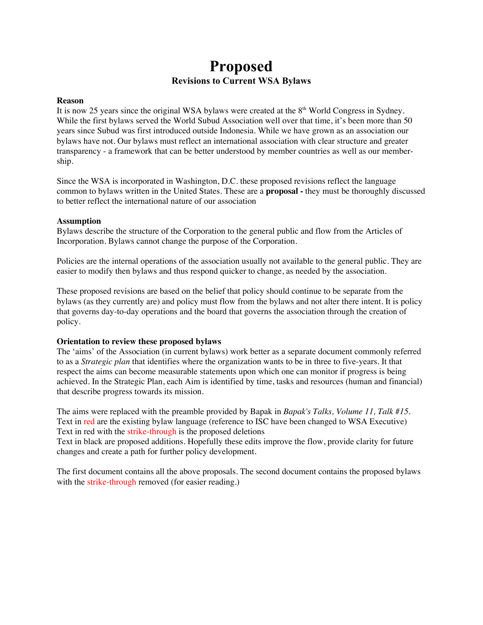# **Proposed Revisions to Current WSA Bylaws**

#### **Reason**

It is now 25 years since the original WSA bylaws were created at the 8<sup>th</sup> World Congress in Sydney. While the first bylaws served the World Subud Association well over that time, it's been more than 50 years since Subud was first introduced outside Indonesia. While we have grown as an association our bylaws have not. Our bylaws must reflect an international association with clear structure and greater transparency - a framework that can be better understood by member countries as well as our membership.

Since the WSA is incorporated in Washington, D.C. these proposed revisions reflect the language common to bylaws written in the United States. These are a **proposal -** they must be thoroughly discussed to better reflect the international nature of our association

### **Assumption**

Bylaws describe the structure of the Corporation to the general public and flow from the Articles of Incorporation. Bylaws cannot change the purpose of the Corporation.

Policies are the internal operations of the association usually not available to the general public. They are easier to modify then bylaws and thus respond quicker to change, as needed by the association.

These proposed revisions are based on the belief that policy should continue to be separate from the bylaws (as they currently are) and policy must flow from the bylaws and not alter there intent. It is policy that governs day-to-day operations and the board that governs the association through the creation of policy.

#### **Orientation to review these proposed bylaws**

The 'aims' of the Association (in current bylaws) work better as a separate document commonly referred to as a *Strategic plan* that identifies where the organization wants to be in three to five-years. It that respect the aims can become measurable statements upon which one can monitor if progress is being achieved. In the Strategic Plan, each Aim is identified by time, tasks and resources (human and financial) that describe progress towards its mission.

The aims were replaced with the preamble provided by Bapak in *Bapak's Talks, Volume 11, Talk #15.* Text in red are the existing bylaw language (reference to ISC have been changed to WSA Executive) Text in red with the strike-through is the proposed deletions

Text in black are proposed additions. Hopefully these edits improve the flow, provide clarity for future changes and create a path for further policy development.

The first document contains all the above proposals. The second document contains the proposed bylaws with the strike-through removed (for easier reading.)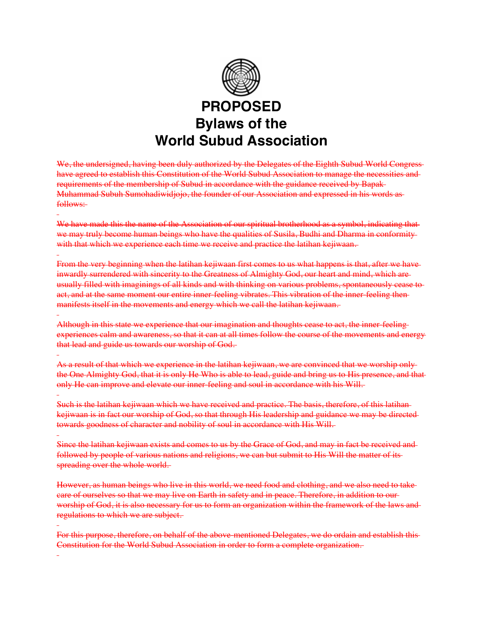

We, the undersigned, having been duly authorized by the Delegates of the Eighth Subud World Congresshave agreed to establish this Constitution of the World Subud Association to manage the necessities and requirements of the membership of Subud in accordance with the guidance received by Bapak Muhammad Subuh Sumohadiwidjojo, the founder of our Association and expressed in his words as follows:

We have made this the name of the Association of our spiritual brotherhood as a symbol, indicating that we may truly become human beings who have the qualities of Susila, Budhi and Dharma in conformity with that which we experience each time we receive and practice the latihan kejiwaan.

From the very beginning when the latihan kejiwaan first comes to us what happens is that, after we have inwardly surrendered with sincerity to the Greatness of Almighty God, our heart and mind, which are usually filled with imaginings of all kinds and with thinking on various problems, spontaneously cease to act, and at the same moment our entire inner-feeling vibrates. This vibration of the inner-feeling then manifests itself in the movements and energy which we call the latihan kejiwaan.

Although in this state we experience that our imagination and thoughts cease to act, the inner-feeling experiences calm and awareness, so that it can at all times follow the course of the movements and energy that lead and guide us towards our worship of God.

As a result of that which we experience in the latihan kejiwaan, we are convinced that we worship only the One Almighty God, that it is only He Who is able to lead, guide and bring us to His presence, and that only He can improve and elevate our inner-feeling and soul in accordance with his Will.

Such is the latihan kejiwaan which we have received and practice. The basis, therefore, of this latihan kejiwaan is in fact our worship of God, so that through His leadership and guidance we may be directed towards goodness of character and nobility of soul in accordance with His Will.

Since the latihan kejiwaan exists and comes to us by the Grace of God, and may in fact be received and followed by people of various nations and religions, we can but submit to His Will the matter of itsspreading over the whole world.

However, as human beings who live in this world, we need food and clothing, and we also need to take care of ourselves so that we may live on Earth in safety and in peace. Therefore, in addition to our worship of God, it is also necessary for us to form an organization within the framework of the laws and regulations to which we are subject.

For this purpose, therefore, on behalf of the above-mentioned Delegates, we do ordain and establish this Constitution for the World Subud Association in order to form a complete organization.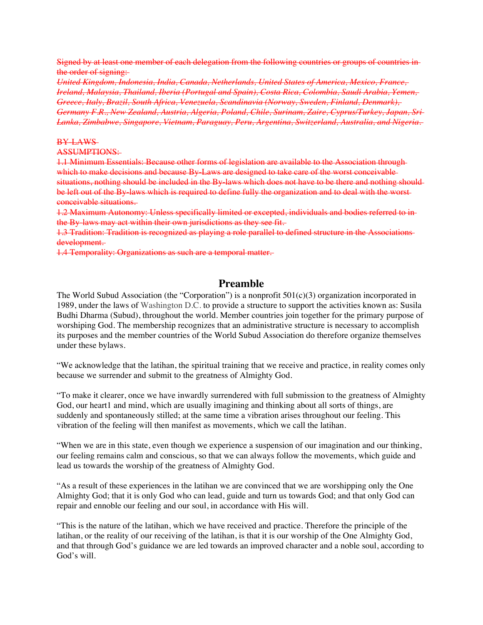Signed by at least one member of each delegation from the following countries or groups of countries in the order of signing:

*United Kingdom, Indonesia, India, Canada, Netherlands, United States of America, Mexico, France, Ireland, Malaysia, Thailand, Iberia (Portugal and Spain), Costa Rica, Colombia, Saudi Arabia, Yemen, Greece, Italy, Brazil, South Africa, Venezuela, Scandinavia (Norway, Sweden, Finland, Denmark), Germany F.R., New Zealand, Austria, Algeria, Poland, Chile, Surinam, Zaire, Cyprus/Turkey, Japan, Sri Lanka, Zimbabwe, Singapore, Vietnam, Paraguay, Peru, Argentina, Switzerland, Australia, and Nigeria.* 

#### BY-LAWS

# ASSUMPTIONS:

1.1 Minimum Essentials: Because other forms of legislation are available to the Association through which to make decisions and because By Laws are designed to take care of the worst conceivable situations, nothing should be included in the By-laws which does not have to be there and nothing should be left out of the By-laws which is required to define fully the organization and to deal with the worstconceivable situations.

1.2 Maximum Autonomy: Unless specifically limited or excepted, individuals and bodies referred to in the By-laws may act within their own jurisdictions as they see fit.

1.3 Tradition: Tradition is recognized as playing a role parallel to defined structure in the Associations development.

1.4 Temporality: Organizations as such are a temporal matter.

# **Preamble**

The World Subud Association (the "Corporation") is a nonprofit  $501(c)(3)$  organization incorporated in 1989, under the laws of Washington D.C. to provide a structure to support the activities known as: Susila Budhi Dharma (Subud), throughout the world. Member countries join together for the primary purpose of worshiping God. The membership recognizes that an administrative structure is necessary to accomplish its purposes and the member countries of the World Subud Association do therefore organize themselves under these bylaws.

"We acknowledge that the latihan, the spiritual training that we receive and practice, in reality comes only because we surrender and submit to the greatness of Almighty God.

"To make it clearer, once we have inwardly surrendered with full submission to the greatness of Almighty God, our heart1 and mind, which are usually imagining and thinking about all sorts of things, are suddenly and spontaneously stilled; at the same time a vibration arises throughout our feeling. This vibration of the feeling will then manifest as movements, which we call the latihan.

"When we are in this state, even though we experience a suspension of our imagination and our thinking, our feeling remains calm and conscious, so that we can always follow the movements, which guide and lead us towards the worship of the greatness of Almighty God.

"As a result of these experiences in the latihan we are convinced that we are worshipping only the One Almighty God; that it is only God who can lead, guide and turn us towards God; and that only God can repair and ennoble our feeling and our soul, in accordance with His will.

"This is the nature of the latihan, which we have received and practice. Therefore the principle of the latihan, or the reality of our receiving of the latihan, is that it is our worship of the One Almighty God, and that through God's guidance we are led towards an improved character and a noble soul, according to God's will.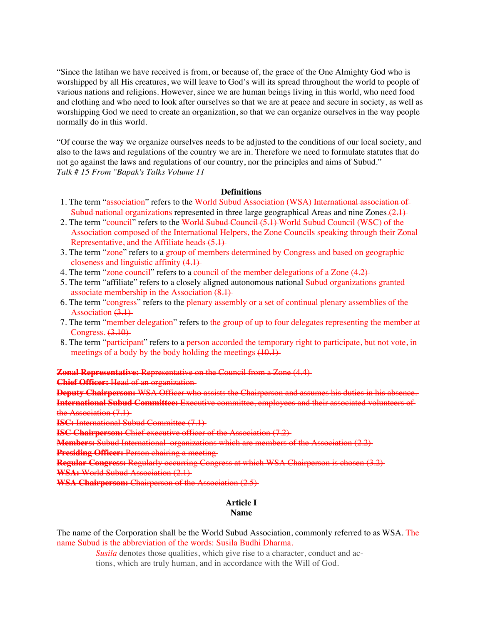"Since the latihan we have received is from, or because of, the grace of the One Almighty God who is worshipped by all His creatures, we will leave to God's will its spread throughout the world to people of various nations and religions. However, since we are human beings living in this world, who need food and clothing and who need to look after ourselves so that we are at peace and secure in society, as well as worshipping God we need to create an organization, so that we can organize ourselves in the way people normally do in this world.

"Of course the way we organize ourselves needs to be adjusted to the conditions of our local society, and also to the laws and regulations of the country we are in. Therefore we need to formulate statutes that do not go against the laws and regulations of our country, nor the principles and aims of Subud." *Talk # 15 From "Bapak's Talks Volume 11*

#### **Definitions**

- 1. The term "association" refers to the World Subud Association (WSA) International association of **Subud** national organizations represented in three large geographical Areas and nine Zones. $(2.1)$
- 2. The term "council" refers to the World Subud Council (5.1) World Subud Council (WSC) of the Association composed of the International Helpers, the Zone Councils speaking through their Zonal Representative, and the Affiliate heads (5.1)
- 3. The term "zone" refers to a group of members determined by Congress and based on geographic closeness and linguistic affinity (4.1)
- 4. The term "zone council" refers to a council of the member delegations of a Zone  $(4.2)$
- 5. The term "affiliate" refers to a closely aligned autonomous national Subud organizations granted associate membership in the Association (8.1)
- 6. The term "congress" refers to the plenary assembly or a set of continual plenary assemblies of the Association  $(3.1)$
- 7. The term "member delegation" refers to the group of up to four delegates representing the member at Congress.  $(3.10)$
- 8. The term "participant" refers to a person accorded the temporary right to participate, but not vote, in meetings of a body by the body holding the meetings  $(10.1)$

**Zonal Representative:** Representative on the Council from a Zone (4.4)

**Chief Officer:** Head of an organization

**Deputy Chairperson:** WSA Officer who assists the Chairperson and assumes his duties in his absence. **International Subud Committee:** Executive committee, employees and their associated volunteers of the Association (7.1)

**ISC:** International Subud Committee (7.1)

**ISC Chairperson:** Chief executive officer of the Association (7.2)

**Members:** Subud International organizations which are members of the Association (2.2)

**Presiding Officer:** Person chairing a meeting

**Regular Congress:** Regularly occurring Congress at which WSA Chairperson is chosen (3.2) **WSA:** World Subud Association (2.1)

**WSA Chairperson:** Chairperson of the Association (2.5)

#### **Article I Name**

The name of the Corporation shall be the World Subud Association, commonly referred to as WSA. The name Subud is the abbreviation of the words: Susila Budhi Dharma.

> *Susila* denotes those qualities, which give rise to a character, conduct and actions, which are truly human, and in accordance with the Will of God.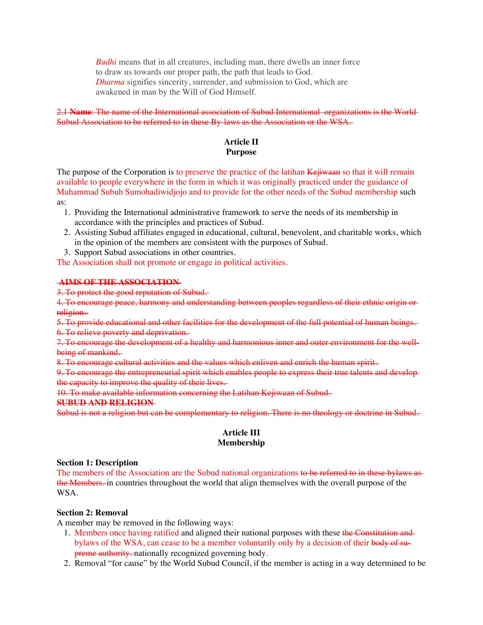*Budhi* means that in all creatures, including man, there dwells an inner force to draw us towards our proper path, the path that leads to God. *Dharma* signifies sincerity, surrender, and submission to God, which are awakened in man by the Will of God Himself.

# 2.1 **Name**: The name of the International association of Subud International organizations is the World Subud Association to be referred to in these By-laws as the Association or the WSA.

# **Article II Purpose**

The purpose of the Corporation is to preserve the practice of the latihan Kejiwaan so that it will remain available to people everywhere in the form in which it was originally practiced under the guidance of Muhammad Subuh Sumohadiwidjojo and to provide for the other needs of the Subud membership such as:

- 1. Providing the International administrative framework to serve the needs of its membership in accordance with the principles and practices of Subud.
- 2. Assisting Subud affiliates engaged in educational, cultural, benevolent, and charitable works, which in the opinion of the members are consistent with the purposes of Subud.
- 3. Support Subud associations in other countries.

The Association shall not promote or engage in political activities.

# **AIMS OF THE ASSOCIATION**

3. To protect the good reputation of Subud.

4. To encourage peace, harmony and understanding between peoples regardless of their ethnic origin or religion.

5. To provide educational and other facilities for the development of the full potential of human beings. 6. To relieve poverty and deprivation.

7. To encourage the development of a healthy and harmonious inner and outer environment for the wellbeing of mankind.

8. To encourage cultural activities and the values which enliven and enrich the human spirit.

9. To encourage the entrepreneurial spirit which enables people to express their true talents and develop the capacity to improve the quality of their lives.

10. To make available information concerning the Latihan Kejiwaan of Subud.

# **SUBUD AND RELIGION**

Subud is not a religion but can be complementary to religion. There is no theology or doctrine in Subud.

# **Article III Membership**

# **Section 1: Description**

The members of the Association are the Subud national organizations to be referred to in these bylaws asthe Members. in countries throughout the world that align themselves with the overall purpose of the WSA.

# **Section 2: Removal**

A member may be removed in the following ways:

- 1. Members once having ratified and aligned their national purposes with these the Constitution and bylaws of the WSA, can cease to be a member voluntarily only by a decision of their body of supreme authority. nationally recognized governing body.
- 2. Removal "for cause" by the World Subud Council, if the member is acting in a way determined to be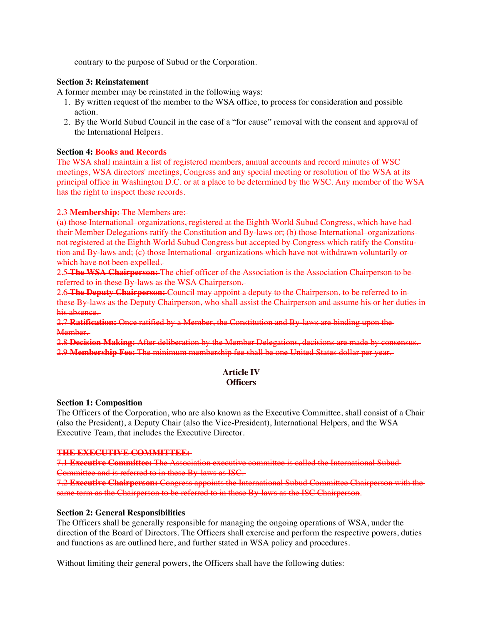contrary to the purpose of Subud or the Corporation.

# **Section 3: Reinstatement**

A former member may be reinstated in the following ways:

- 1. By written request of the member to the WSA office, to process for consideration and possible action.
- 2. By the World Subud Council in the case of a "for cause" removal with the consent and approval of the International Helpers.

# **Section 4: Books and Records**

The WSA shall maintain a list of registered members, annual accounts and record minutes of WSC meetings, WSA directors' meetings, Congress and any special meeting or resolution of the WSA at its principal office in Washington D.C. or at a place to be determined by the WSC. Any member of the WSA has the right to inspect these records.

### 2.3 **Membership:** The Members are:

(a) those International organizations, registered at the Eighth World Subud Congress, which have had their Member Delegations ratify the Constitution and By-laws or; (b) those International organizations not registered at the Eighth World Subud Congress but accepted by Congress which ratify the Constitution and By-laws and; (c) those International organizations which have not withdrawn voluntarily orwhich have not been expelled.

2.5 **The WSA Chairperson:** The chief officer of the Association is the Association Chairperson to be referred to in these By-laws as the WSA Chairperson.

2.6 **The Deputy Chairperson:** Council may appoint a deputy to the Chairperson, to be referred to in these By-laws as the Deputy Chairperson, who shall assist the Chairperson and assume his or her duties in his absence.

2.7 **Ratification:** Once ratified by a Member, the Constitution and By-laws are binding upon the Member.

2.8 **Decision Making:** After deliberation by the Member Delegations, decisions are made by consensus. 2.9 **Membership Fee:** The minimum membership fee shall be one United States dollar per year.

### **Article IV Officers**

#### **Section 1: Composition**

The Officers of the Corporation, who are also known as the Executive Committee, shall consist of a Chair (also the President), a Deputy Chair (also the Vice-President), International Helpers, and the WSA Executive Team, that includes the Executive Director.

#### **THE EXECUTIVE COMMITTEE:**

7.1 **Executive Committee:** The Association executive committee is called the International Subud Committee and is referred to in these By-laws as ISC.

7.2 **Executive Chairperson:** Congress appoints the International Subud Committee Chairperson with the same term as the Chairperson to be referred to in these By-laws as the ISC Chairperson.

# **Section 2: General Responsibilities**

The Officers shall be generally responsible for managing the ongoing operations of WSA, under the direction of the Board of Directors. The Officers shall exercise and perform the respective powers, duties and functions as are outlined here, and further stated in WSA policy and procedures.

Without limiting their general powers, the Officers shall have the following duties: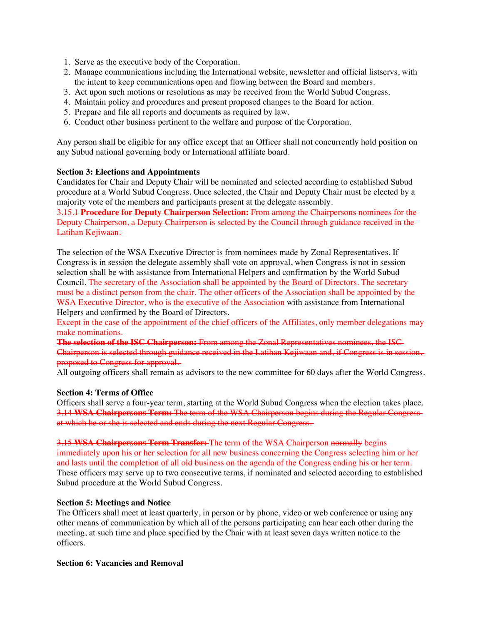- 1. Serve as the executive body of the Corporation.
- 2. Manage communications including the International website, newsletter and official listservs, with the intent to keep communications open and flowing between the Board and members.
- 3. Act upon such motions or resolutions as may be received from the World Subud Congress.
- 4. Maintain policy and procedures and present proposed changes to the Board for action.
- 5. Prepare and file all reports and documents as required by law.
- 6. Conduct other business pertinent to the welfare and purpose of the Corporation.

Any person shall be eligible for any office except that an Officer shall not concurrently hold position on any Subud national governing body or International affiliate board.

#### **Section 3: Elections and Appointments**

Candidates for Chair and Deputy Chair will be nominated and selected according to established Subud procedure at a World Subud Congress. Once selected, the Chair and Deputy Chair must be elected by a majority vote of the members and participants present at the delegate assembly.

3.15.1 **Procedure for Deputy Chairperson Selection:** From among the Chairpersons nominees for the Deputy Chairperson, a Deputy Chairperson is selected by the Council through guidance received in the Latihan Kejiwaan.

The selection of the WSA Executive Director is from nominees made by Zonal Representatives. If Congress is in session the delegate assembly shall vote on approval, when Congress is not in session selection shall be with assistance from International Helpers and confirmation by the World Subud Council. The secretary of the Association shall be appointed by the Board of Directors. The secretary must be a distinct person from the chair. The other officers of the Association shall be appointed by the WSA Executive Director, who is the executive of the Association with assistance from International Helpers and confirmed by the Board of Directors.

Except in the case of the appointment of the chief officers of the Affiliates, only member delegations may make nominations.

**The selection of the ISC Chairperson:** From among the Zonal Representatives nominees, the ISC Chairperson is selected through guidance received in the Latihan Kejiwaan and, if Congress is in session, proposed to Congress for approval.

All outgoing officers shall remain as advisors to the new committee for 60 days after the World Congress.

#### **Section 4: Terms of Office**

Officers shall serve a four-year term, starting at the World Subud Congress when the election takes place. 3.14 **WSA Chairpersons Term:** The term of the WSA Chairperson begins during the Regular Congress at which he or she is selected and ends during the next Regular Congress.

3.15 **WSA Chairpersons Term Transfer:** The term of the WSA Chairperson normally begins immediately upon his or her selection for all new business concerning the Congress selecting him or her and lasts until the completion of all old business on the agenda of the Congress ending his or her term. These officers may serve up to two consecutive terms, if nominated and selected according to established Subud procedure at the World Subud Congress.

#### **Section 5: Meetings and Notice**

The Officers shall meet at least quarterly, in person or by phone, video or web conference or using any other means of communication by which all of the persons participating can hear each other during the meeting, at such time and place specified by the Chair with at least seven days written notice to the officers.

#### **Section 6: Vacancies and Removal**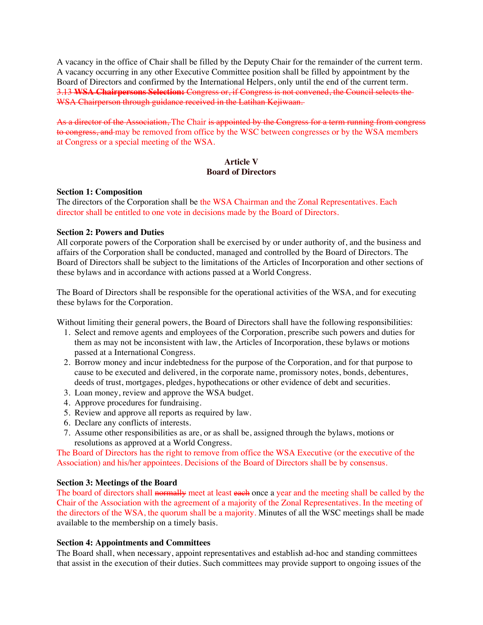A vacancy in the office of Chair shall be filled by the Deputy Chair for the remainder of the current term. A vacancy occurring in any other Executive Committee position shall be filled by appointment by the Board of Directors and confirmed by the International Helpers, only until the end of the current term. 3.13 **WSA Chairpersons Selection:** Congress or, if Congress is not convened, the Council selects the WSA Chairperson through guidance received in the Latihan Kejiwaan.

As a director of the Association, The Chair is appointed by the Congress for a term running from congress to congress, and may be removed from office by the WSC between congresses or by the WSA members at Congress or a special meeting of the WSA.

# **Article V Board of Directors**

### **Section 1: Composition**

The directors of the Corporation shall be the WSA Chairman and the Zonal Representatives. Each director shall be entitled to one vote in decisions made by the Board of Directors.

### **Section 2: Powers and Duties**

All corporate powers of the Corporation shall be exercised by or under authority of, and the business and affairs of the Corporation shall be conducted, managed and controlled by the Board of Directors. The Board of Directors shall be subject to the limitations of the Articles of Incorporation and other sections of these bylaws and in accordance with actions passed at a World Congress.

The Board of Directors shall be responsible for the operational activities of the WSA, and for executing these bylaws for the Corporation.

Without limiting their general powers, the Board of Directors shall have the following responsibilities:

- 1. Select and remove agents and employees of the Corporation, prescribe such powers and duties for them as may not be inconsistent with law, the Articles of Incorporation, these bylaws or motions passed at a International Congress.
- 2. Borrow money and incur indebtedness for the purpose of the Corporation, and for that purpose to cause to be executed and delivered, in the corporate name, promissory notes, bonds, debentures, deeds of trust, mortgages, pledges, hypothecations or other evidence of debt and securities.
- 3. Loan money, review and approve the WSA budget.
- 4. Approve procedures for fundraising.
- 5. Review and approve all reports as required by law.
- 6. Declare any conflicts of interests.
- 7. Assume other responsibilities as are, or as shall be, assigned through the bylaws, motions or resolutions as approved at a World Congress.

The Board of Directors has the right to remove from office the WSA Executive (or the executive of the Association) and his/her appointees. Decisions of the Board of Directors shall be by consensus.

#### **Section 3: Meetings of the Board**

The board of directors shall normally meet at least each once a year and the meeting shall be called by the Chair of the Association with the agreement of a majority of the Zonal Representatives. In the meeting of the directors of the WSA, the quorum shall be a majority. Minutes of all the WSC meetings shall be made available to the membership on a timely basis.

#### **Section 4: Appointments and Committees**

The Board shall, when nec**e**ssary, appoint representatives and establish ad-hoc and standing committees that assist in the execution of their duties. Such committees may provide support to ongoing issues of the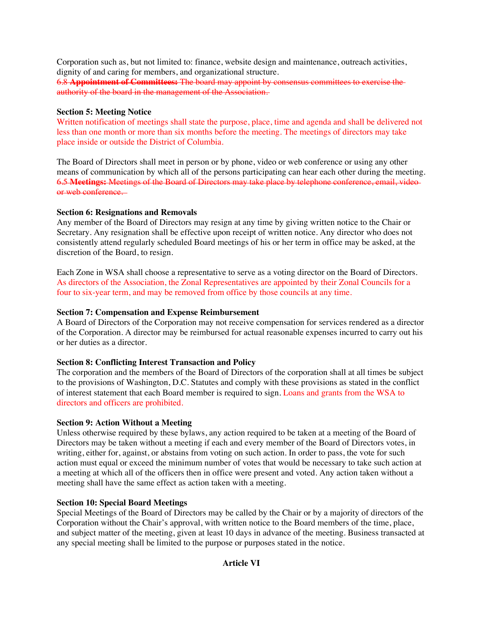Corporation such as, but not limited to: finance, website design and maintenance, outreach activities, dignity of and caring for members, and organizational structure.

6.8 **Appointment of Committees:** The board may appoint by consensus committees to exercise the authority of the board in the management of the Association.

# **Section 5: Meeting Notice**

Written notification of meetings shall state the purpose, place, time and agenda and shall be delivered not less than one month or more than six months before the meeting. The meetings of directors may take place inside or outside the District of Columbia.

The Board of Directors shall meet in person or by phone, video or web conference or using any other means of communication by which all of the persons participating can hear each other during the meeting. 6.5 **Meetings:** Meetings of the Board of Directors may take place by telephone conference, email, video or web conference.

# **Section 6: Resignations and Removals**

Any member of the Board of Directors may resign at any time by giving written notice to the Chair or Secretary. Any resignation shall be effective upon receipt of written notice. Any director who does not consistently attend regularly scheduled Board meetings of his or her term in office may be asked, at the discretion of the Board, to resign.

Each Zone in WSA shall choose a representative to serve as a voting director on the Board of Directors. As directors of the Association, the Zonal Representatives are appointed by their Zonal Councils for a four to six-year term, and may be removed from office by those councils at any time.

# **Section 7: Compensation and Expense Reimbursement**

A Board of Directors of the Corporation may not receive compensation for services rendered as a director of the Corporation. A director may be reimbursed for actual reasonable expenses incurred to carry out his or her duties as a director.

# **Section 8: Conflicting Interest Transaction and Policy**

The corporation and the members of the Board of Directors of the corporation shall at all times be subject to the provisions of Washington, D.C. Statutes and comply with these provisions as stated in the conflict of interest statement that each Board member is required to sign. Loans and grants from the WSA to directors and officers are prohibited.

# **Section 9: Action Without a Meeting**

Unless otherwise required by these bylaws, any action required to be taken at a meeting of the Board of Directors may be taken without a meeting if each and every member of the Board of Directors votes, in writing, either for, against, or abstains from voting on such action. In order to pass, the vote for such action must equal or exceed the minimum number of votes that would be necessary to take such action at a meeting at which all of the officers then in office were present and voted. Any action taken without a meeting shall have the same effect as action taken with a meeting.

# **Section 10: Special Board Meetings**

Special Meetings of the Board of Directors may be called by the Chair or by a majority of directors of the Corporation without the Chair's approval, with written notice to the Board members of the time, place, and subject matter of the meeting, given at least 10 days in advance of the meeting. Business transacted at any special meeting shall be limited to the purpose or purposes stated in the notice.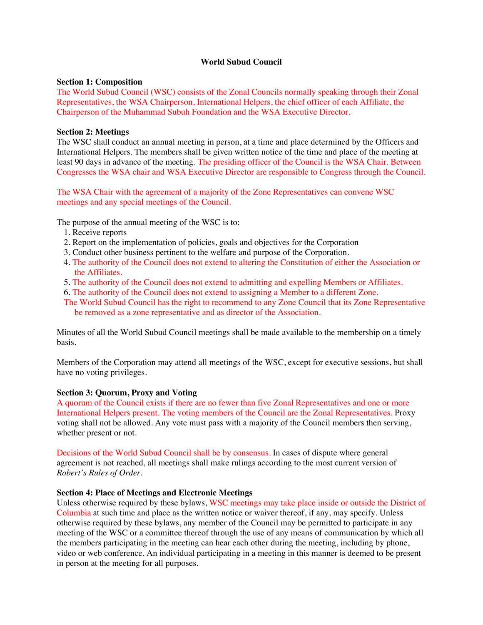# **World Subud Council**

### **Section 1: Composition**

The World Subud Council (WSC) consists of the Zonal Councils normally speaking through their Zonal Representatives, the WSA Chairperson, International Helpers, the chief officer of each Affiliate, the Chairperson of the Muhammad Subuh Foundation and the WSA Executive Director.

# **Section 2: Meetings**

The WSC shall conduct an annual meeting in person, at a time and place determined by the Officers and International Helpers. The members shall be given written notice of the time and place of the meeting at least 90 days in advance of the meeting. The presiding officer of the Council is the WSA Chair. Between Congresses the WSA chair and WSA Executive Director are responsible to Congress through the Council.

The WSA Chair with the agreement of a majority of the Zone Representatives can convene WSC meetings and any special meetings of the Council.

The purpose of the annual meeting of the WSC is to:

- 1. Receive reports
- 2. Report on the implementation of policies, goals and objectives for the Corporation
- 3. Conduct other business pertinent to the welfare and purpose of the Corporation.
- 4. The authority of the Council does not extend to altering the Constitution of either the Association or the Affiliates.
- 5. The authority of the Council does not extend to admitting and expelling Members or Affiliates.
- 6. The authority of the Council does not extend to assigning a Member to a different Zone.
- The World Subud Council has the right to recommend to any Zone Council that its Zone Representative be removed as a zone representative and as director of the Association.

Minutes of all the World Subud Council meetings shall be made available to the membership on a timely basis.

Members of the Corporation may attend all meetings of the WSC, except for executive sessions, but shall have no voting privileges.

#### **Section 3: Quorum, Proxy and Voting**

A quorum of the Council exists if there are no fewer than five Zonal Representatives and one or more International Helpers present. The voting members of the Council are the Zonal Representatives. Proxy voting shall not be allowed. Any vote must pass with a majority of the Council members then serving, whether present or not.

Decisions of the World Subud Council shall be by consensus. In cases of dispute where general agreement is not reached, all meetings shall make rulings according to the most current version of *Robert's Rules of Order.*

#### **Section 4: Place of Meetings and Electronic Meetings**

Unless otherwise required by these bylaws, WSC meetings may take place inside or outside the District of Columbia at such time and place as the written notice or waiver thereof, if any, may specify. Unless otherwise required by these bylaws, any member of the Council may be permitted to participate in any meeting of the WSC or a committee thereof through the use of any means of communication by which all the members participating in the meeting can hear each other during the meeting, including by phone, video or web conference. An individual participating in a meeting in this manner is deemed to be present in person at the meeting for all purposes.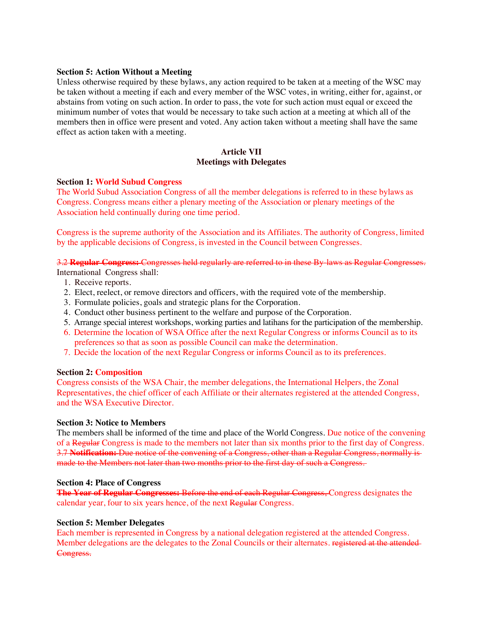### **Section 5: Action Without a Meeting**

Unless otherwise required by these bylaws, any action required to be taken at a meeting of the WSC may be taken without a meeting if each and every member of the WSC votes, in writing, either for, against, or abstains from voting on such action. In order to pass, the vote for such action must equal or exceed the minimum number of votes that would be necessary to take such action at a meeting at which all of the members then in office were present and voted. Any action taken without a meeting shall have the same effect as action taken with a meeting.

# **Article VII Meetings with Delegates**

#### **Section 1: World Subud Congress**

The World Subud Association Congress of all the member delegations is referred to in these bylaws as Congress. Congress means either a plenary meeting of the Association or plenary meetings of the Association held continually during one time period.

Congress is the supreme authority of the Association and its Affiliates. The authority of Congress, limited by the applicable decisions of Congress, is invested in the Council between Congresses.

3.2 **Regular Congress:** Congresses held regularly are referred to in these By-laws as Regular Congresses.

International Congress shall:

- 1. Receive reports.
- 2. Elect, reelect, or remove directors and officers, with the required vote of the membership.
- 3. Formulate policies, goals and strategic plans for the Corporation.
- 4. Conduct other business pertinent to the welfare and purpose of the Corporation.
- 5. Arrange special interest workshops, working parties and latihans for the participation of the membership.
- 6. Determine the location of WSA Office after the next Regular Congress or informs Council as to its preferences so that as soon as possible Council can make the determination.
- 7. Decide the location of the next Regular Congress or informs Council as to its preferences.

#### **Section 2: Composition**

Congress consists of the WSA Chair, the member delegations, the International Helpers, the Zonal Representatives, the chief officer of each Affiliate or their alternates registered at the attended Congress, and the WSA Executive Director.

#### **Section 3: Notice to Members**

The members shall be informed of the time and place of the World Congress. Due notice of the convening of a Regular Congress is made to the members not later than six months prior to the first day of Congress. 3.7 **Notification:** Due notice of the convening of a Congress, other than a Regular Congress, normally is made to the Members not later than two months prior to the first day of such a Congress.

#### **Section 4: Place of Congress**

**The Year of Regular Congresses:** Before the end of each Regular Congress, Congress designates the calendar year, four to six years hence, of the next Regular Congress.

#### **Section 5: Member Delegates**

Each member is represented in Congress by a national delegation registered at the attended Congress. Member delegations are the delegates to the Zonal Councils or their alternates. registered at the attended Congress.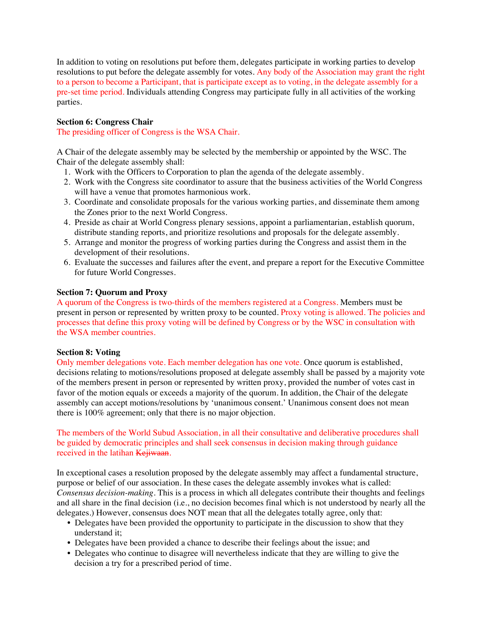In addition to voting on resolutions put before them, delegates participate in working parties to develop resolutions to put before the delegate assembly for votes. Any body of the Association may grant the right to a person to become a Participant, that is participate except as to voting, in the delegate assembly for a pre-set time period. Individuals attending Congress may participate fully in all activities of the working parties.

# **Section 6: Congress Chair**

The presiding officer of Congress is the WSA Chair.

A Chair of the delegate assembly may be selected by the membership or appointed by the WSC. The Chair of the delegate assembly shall:

- 1. Work with the Officers to Corporation to plan the agenda of the delegate assembly.
- 2. Work with the Congress site coordinator to assure that the business activities of the World Congress will have a venue that promotes harmonious work.
- 3. Coordinate and consolidate proposals for the various working parties, and disseminate them among the Zones prior to the next World Congress.
- 4. Preside as chair at World Congress plenary sessions, appoint a parliamentarian, establish quorum, distribute standing reports, and prioritize resolutions and proposals for the delegate assembly.
- 5. Arrange and monitor the progress of working parties during the Congress and assist them in the development of their resolutions.
- 6. Evaluate the successes and failures after the event, and prepare a report for the Executive Committee for future World Congresses.

### **Section 7: Quorum and Proxy**

A quorum of the Congress is two-thirds of the members registered at a Congress. Members must be present in person or represented by written proxy to be counted. Proxy voting is allowed. The policies and processes that define this proxy voting will be defined by Congress or by the WSC in consultation with the WSA member countries.

#### **Section 8: Voting**

Only member delegations vote. Each member delegation has one vote. Once quorum is established, decisions relating to motions/resolutions proposed at delegate assembly shall be passed by a majority vote of the members present in person or represented by written proxy, provided the number of votes cast in favor of the motion equals or exceeds a majority of the quorum. In addition, the Chair of the delegate assembly can accept motions/resolutions by 'unanimous consent.' Unanimous consent does not mean there is 100% agreement; only that there is no major objection.

The members of the World Subud Association, in all their consultative and deliberative procedures shall be guided by democratic principles and shall seek consensus in decision making through guidance received in the latihan Kejiwaan.

In exceptional cases a resolution proposed by the delegate assembly may affect a fundamental structure, purpose or belief of our association. In these cases the delegate assembly invokes what is called: *Consensus decision-making.* This is a process in which all delegates contribute their thoughts and feelings and all share in the final decision (i.e., no decision becomes final which is not understood by nearly all the delegates.) However, consensus does NOT mean that all the delegates totally agree, only that:

- Delegates have been provided the opportunity to participate in the discussion to show that they understand it;
- Delegates have been provided a chance to describe their feelings about the issue; and
- Delegates who continue to disagree will nevertheless indicate that they are willing to give the decision a try for a prescribed period of time.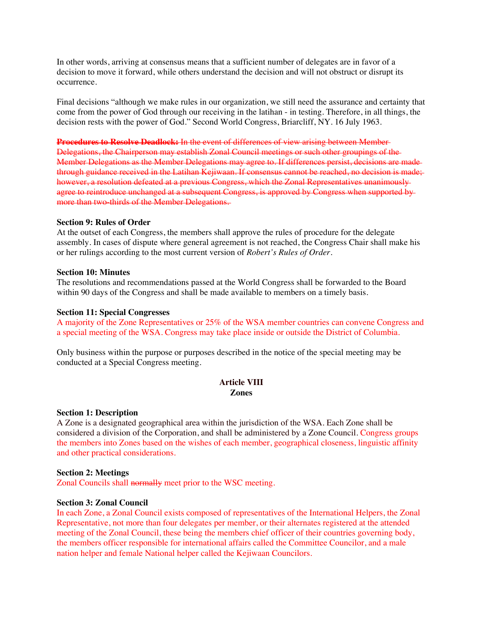In other words, arriving at consensus means that a sufficient number of delegates are in favor of a decision to move it forward, while others understand the decision and will not obstruct or disrupt its occurrence.

Final decisions "although we make rules in our organization, we still need the assurance and certainty that come from the power of God through our receiving in the latihan - in testing. Therefore, in all things, the decision rests with the power of God." Second World Congress, Briarcliff, NY. 16 July 1963.

**Procedures to Resolve Deadlock:** In the event of differences of view arising between Member Delegations, the Chairperson may establish Zonal Council meetings or such other groupings of the Member Delegations as the Member Delegations may agree to. If differences persist, decisions are made through guidance received in the Latihan Kejiwaan. If consensus cannot be reached, no decision is made; however, a resolution defeated at a previous Congress, which the Zonal Representatives unanimously agree to reintroduce unchanged at a subsequent Congress, is approved by Congress when supported by more than two-thirds of the Member Delegations.

#### **Section 9: Rules of Order**

At the outset of each Congress, the members shall approve the rules of procedure for the delegate assembly. In cases of dispute where general agreement is not reached, the Congress Chair shall make his or her rulings according to the most current version of *Robert's Rules of Order.*

#### **Section 10: Minutes**

The resolutions and recommendations passed at the World Congress shall be forwarded to the Board within 90 days of the Congress and shall be made available to members on a timely basis.

### **Section 11: Special Congresses**

A majority of the Zone Representatives or 25% of the WSA member countries can convene Congress and a special meeting of the WSA. Congress may take place inside or outside the District of Columbia.

Only business within the purpose or purposes described in the notice of the special meeting may be conducted at a Special Congress meeting.

# **Article VIII Zones**

#### **Section 1: Description**

A Zone is a designated geographical area within the jurisdiction of the WSA. Each Zone shall be considered a division of the Corporation, and shall be administered by a Zone Council. Congress groups the members into Zones based on the wishes of each member, geographical closeness, linguistic affinity and other practical considerations.

#### **Section 2: Meetings**

Zonal Councils shall normally meet prior to the WSC meeting.

#### **Section 3: Zonal Council**

In each Zone, a Zonal Council exists composed of representatives of the International Helpers, the Zonal Representative, not more than four delegates per member, or their alternates registered at the attended meeting of the Zonal Council, these being the members chief officer of their countries governing body, the members officer responsible for international affairs called the Committee Councilor, and a male nation helper and female National helper called the Kejiwaan Councilors.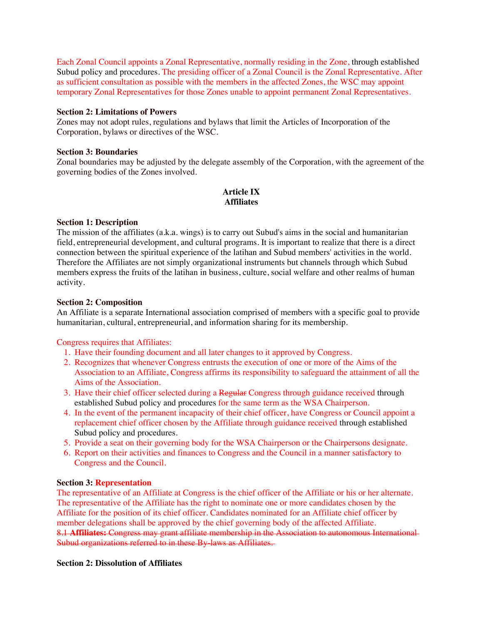Each Zonal Council appoints a Zonal Representative, normally residing in the Zone, through established Subud policy and procedures. The presiding officer of a Zonal Council is the Zonal Representative. After as sufficient consultation as possible with the members in the affected Zones, the WSC may appoint temporary Zonal Representatives for those Zones unable to appoint permanent Zonal Representatives.

### **Section 2: Limitations of Powers**

Zones may not adopt rules, regulations and bylaws that limit the Articles of Incorporation of the Corporation, bylaws or directives of the WSC.

# **Section 3: Boundaries**

Zonal boundaries may be adjusted by the delegate assembly of the Corporation, with the agreement of the governing bodies of the Zones involved.

# **Article IX Affiliates**

### **Section 1: Description**

The mission of the affiliates (a.k.a. wings) is to carry out Subud's aims in the social and humanitarian field, entrepreneurial development, and cultural programs. It is important to realize that there is a direct connection between the spiritual experience of the latihan and Subud members' activities in the world. Therefore the Affiliates are not simply organizational instruments but channels through which Subud members express the fruits of the latihan in business, culture, social welfare and other realms of human activity.

### **Section 2: Composition**

An Affiliate is a separate International association comprised of members with a specific goal to provide humanitarian, cultural, entrepreneurial, and information sharing for its membership.

Congress requires that Affiliates:

- 1. Have their founding document and all later changes to it approved by Congress.
- 2. Recognizes that whenever Congress entrusts the execution of one or more of the Aims of the Association to an Affiliate, Congress affirms its responsibility to safeguard the attainment of all the Aims of the Association.
- 3. Have their chief officer selected during a Regular Congress through guidance received through established Subud policy and procedures for the same term as the WSA Chairperson.
- 4. In the event of the permanent incapacity of their chief officer, have Congress or Council appoint a replacement chief officer chosen by the Affiliate through guidance received through established Subud policy and procedures.
- 5. Provide a seat on their governing body for the WSA Chairperson or the Chairpersons designate.
- 6. Report on their activities and finances to Congress and the Council in a manner satisfactory to Congress and the Council.

# **Section 3: Representation**

The representative of an Affiliate at Congress is the chief officer of the Affiliate or his or her alternate. The representative of the Affiliate has the right to nominate one or more candidates chosen by the Affiliate for the position of its chief officer. Candidates nominated for an Affiliate chief officer by member delegations shall be approved by the chief governing body of the affected Affiliate. 8.1 **Affiliates:** Congress may grant affiliate membership in the Association to autonomous International Subud organizations referred to in these By-laws as Affiliates.

#### **Section 2: Dissolution of Affiliates**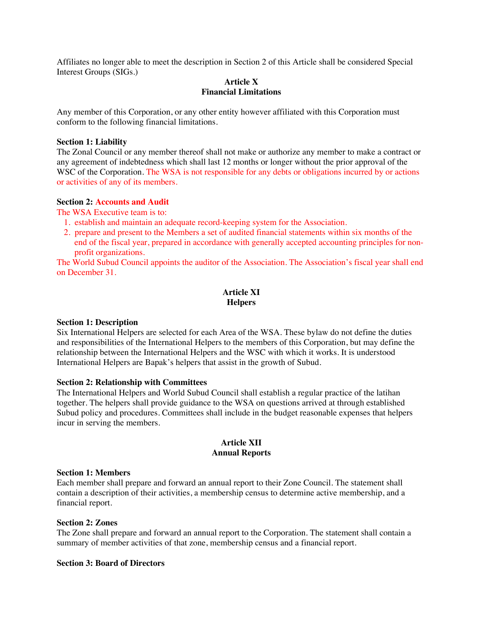Affiliates no longer able to meet the description in Section 2 of this Article shall be considered Special Interest Groups (SIGs.)

### **Article X Financial Limitations**

Any member of this Corporation, or any other entity however affiliated with this Corporation must conform to the following financial limitations.

### **Section 1: Liability**

The Zonal Council or any member thereof shall not make or authorize any member to make a contract or any agreement of indebtedness which shall last 12 months or longer without the prior approval of the WSC of the Corporation. The WSA is not responsible for any debts or obligations incurred by or actions or activities of any of its members.

### **Section 2: Accounts and Audit**

The WSA Executive team is to:

- 1. establish and maintain an adequate record-keeping system for the Association.
- 2. prepare and present to the Members a set of audited financial statements within six months of the end of the fiscal year, prepared in accordance with generally accepted accounting principles for nonprofit organizations.

The World Subud Council appoints the auditor of the Association. The Association's fiscal year shall end on December 31.

# **Article XI Helpers**

#### **Section 1: Description**

Six International Helpers are selected for each Area of the WSA. These bylaw do not define the duties and responsibilities of the International Helpers to the members of this Corporation, but may define the relationship between the International Helpers and the WSC with which it works. It is understood International Helpers are Bapak's helpers that assist in the growth of Subud.

#### **Section 2: Relationship with Committees**

The International Helpers and World Subud Council shall establish a regular practice of the latihan together. The helpers shall provide guidance to the WSA on questions arrived at through established Subud policy and procedures. Committees shall include in the budget reasonable expenses that helpers incur in serving the members.

# **Article XII Annual Reports**

#### **Section 1: Members**

Each member shall prepare and forward an annual report to their Zone Council. The statement shall contain a description of their activities, a membership census to determine active membership, and a financial report.

#### **Section 2: Zones**

The Zone shall prepare and forward an annual report to the Corporation. The statement shall contain a summary of member activities of that zone, membership census and a financial report.

#### **Section 3: Board of Directors**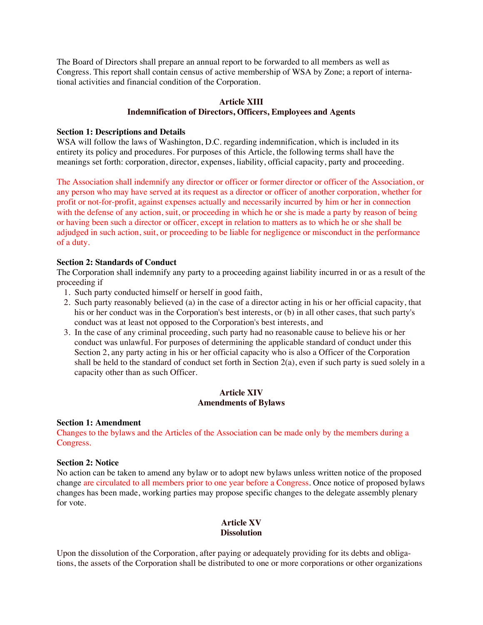The Board of Directors shall prepare an annual report to be forwarded to all members as well as Congress. This report shall contain census of active membership of WSA by Zone; a report of international activities and financial condition of the Corporation.

# **Article XIII Indemnification of Directors, Officers, Employees and Agents**

### **Section 1: Descriptions and Details**

WSA will follow the laws of Washington, D.C. regarding indemnification, which is included in its entirety its policy and procedures. For purposes of this Article, the following terms shall have the meanings set forth: corporation, director, expenses, liability, official capacity, party and proceeding.

The Association shall indemnify any director or officer or former director or officer of the Association, or any person who may have served at its request as a director or officer of another corporation, whether for profit or not-for-profit, against expenses actually and necessarily incurred by him or her in connection with the defense of any action, suit, or proceeding in which he or she is made a party by reason of being or having been such a director or officer, except in relation to matters as to which he or she shall be adjudged in such action, suit, or proceeding to be liable for negligence or misconduct in the performance of a duty.

# **Section 2: Standards of Conduct**

The Corporation shall indemnify any party to a proceeding against liability incurred in or as a result of the proceeding if

- 1. Such party conducted himself or herself in good faith,
- 2. Such party reasonably believed (a) in the case of a director acting in his or her official capacity, that his or her conduct was in the Corporation's best interests, or (b) in all other cases, that such party's conduct was at least not opposed to the Corporation's best interests, and
- 3. In the case of any criminal proceeding, such party had no reasonable cause to believe his or her conduct was unlawful. For purposes of determining the applicable standard of conduct under this Section 2, any party acting in his or her official capacity who is also a Officer of the Corporation shall be held to the standard of conduct set forth in Section 2(a), even if such party is sued solely in a capacity other than as such Officer.

### **Article XIV Amendments of Bylaws**

#### **Section 1: Amendment**

Changes to the bylaws and the Articles of the Association can be made only by the members during a Congress.

# **Section 2: Notice**

No action can be taken to amend any bylaw or to adopt new bylaws unless written notice of the proposed change are circulated to all members prior to one year before a Congress. Once notice of proposed bylaws changes has been made, working parties may propose specific changes to the delegate assembly plenary for vote.

# **Article XV Dissolution**

Upon the dissolution of the Corporation, after paying or adequately providing for its debts and obligations, the assets of the Corporation shall be distributed to one or more corporations or other organizations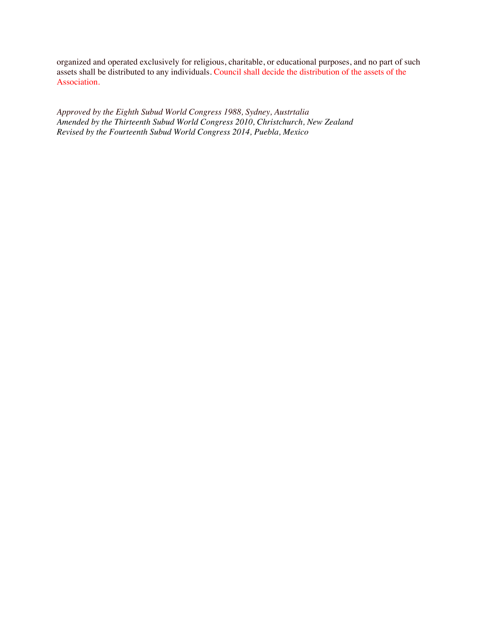organized and operated exclusively for religious, charitable, or educational purposes, and no part of such assets shall be distributed to any individuals. Council shall decide the distribution of the assets of the Association.

*Approved by the Eighth Subud World Congress 1988, Sydney, Austrtalia Amended by the Thirteenth Subud World Congress 2010, Christchurch, New Zealand Revised by the Fourteenth Subud World Congress 2014, Puebla, Mexico*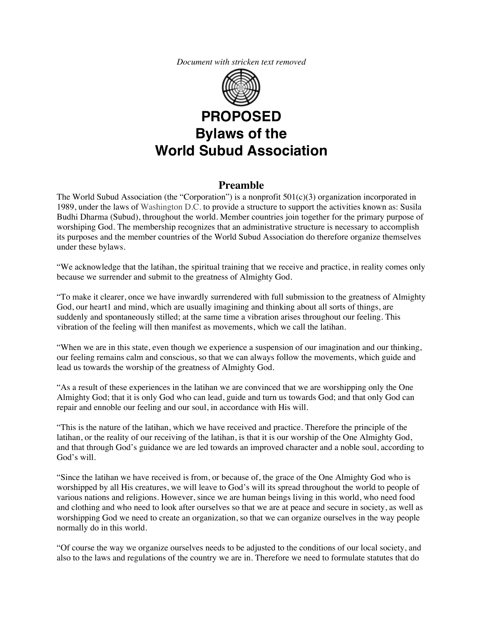*Document with stricken text removed*



# **Preamble**

The World Subud Association (the "Corporation") is a nonprofit  $501(c)(3)$  organization incorporated in 1989, under the laws of Washington D.C. to provide a structure to support the activities known as: Susila Budhi Dharma (Subud), throughout the world. Member countries join together for the primary purpose of worshiping God. The membership recognizes that an administrative structure is necessary to accomplish its purposes and the member countries of the World Subud Association do therefore organize themselves under these bylaws.

"We acknowledge that the latihan, the spiritual training that we receive and practice, in reality comes only because we surrender and submit to the greatness of Almighty God.

"To make it clearer, once we have inwardly surrendered with full submission to the greatness of Almighty God, our heart1 and mind, which are usually imagining and thinking about all sorts of things, are suddenly and spontaneously stilled; at the same time a vibration arises throughout our feeling. This vibration of the feeling will then manifest as movements, which we call the latihan.

"When we are in this state, even though we experience a suspension of our imagination and our thinking, our feeling remains calm and conscious, so that we can always follow the movements, which guide and lead us towards the worship of the greatness of Almighty God.

"As a result of these experiences in the latihan we are convinced that we are worshipping only the One Almighty God; that it is only God who can lead, guide and turn us towards God; and that only God can repair and ennoble our feeling and our soul, in accordance with His will.

"This is the nature of the latihan, which we have received and practice. Therefore the principle of the latihan, or the reality of our receiving of the latihan, is that it is our worship of the One Almighty God, and that through God's guidance we are led towards an improved character and a noble soul, according to God's will.

"Since the latihan we have received is from, or because of, the grace of the One Almighty God who is worshipped by all His creatures, we will leave to God's will its spread throughout the world to people of various nations and religions. However, since we are human beings living in this world, who need food and clothing and who need to look after ourselves so that we are at peace and secure in society, as well as worshipping God we need to create an organization, so that we can organize ourselves in the way people normally do in this world.

"Of course the way we organize ourselves needs to be adjusted to the conditions of our local society, and also to the laws and regulations of the country we are in. Therefore we need to formulate statutes that do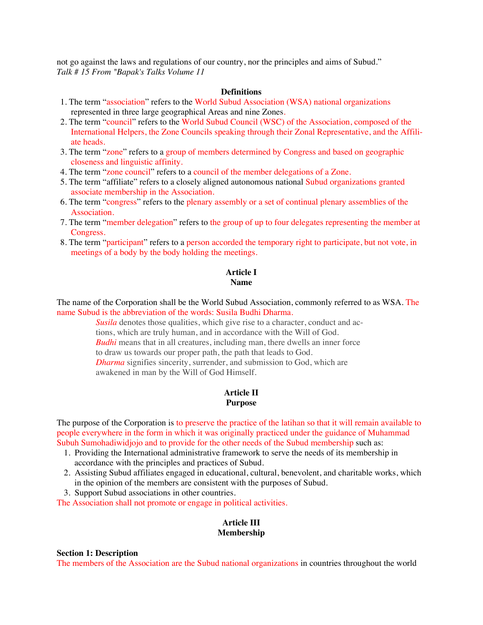not go against the laws and regulations of our country, nor the principles and aims of Subud." *Talk # 15 From "Bapak's Talks Volume 11*

#### **Definitions**

- 1. The term "association" refers to the World Subud Association (WSA) national organizations represented in three large geographical Areas and nine Zones.
- 2. The term "council" refers to the World Subud Council (WSC) of the Association, composed of the International Helpers, the Zone Councils speaking through their Zonal Representative, and the Affiliate heads.
- 3. The term "zone" refers to a group of members determined by Congress and based on geographic closeness and linguistic affinity.
- 4. The term "zone council" refers to a council of the member delegations of a Zone.
- 5. The term "affiliate" refers to a closely aligned autonomous national Subud organizations granted associate membership in the Association.
- 6. The term "congress" refers to the plenary assembly or a set of continual plenary assemblies of the Association.
- 7. The term "member delegation" refers to the group of up to four delegates representing the member at Congress.
- 8. The term "participant" refers to a person accorded the temporary right to participate, but not vote, in meetings of a body by the body holding the meetings.

### **Article I Name**

The name of the Corporation shall be the World Subud Association, commonly referred to as WSA. The name Subud is the abbreviation of the words: Susila Budhi Dharma.

> *Susila* denotes those qualities, which give rise to a character, conduct and actions, which are truly human, and in accordance with the Will of God. *Budhi* means that in all creatures, including man, there dwells an inner force to draw us towards our proper path, the path that leads to God. *Dharma* signifies sincerity, surrender, and submission to God, which are awakened in man by the Will of God Himself.

#### **Article II Purpose**

The purpose of the Corporation is to preserve the practice of the latihan so that it will remain available to people everywhere in the form in which it was originally practiced under the guidance of Muhammad Subuh Sumohadiwidjojo and to provide for the other needs of the Subud membership such as:

- 1. Providing the International administrative framework to serve the needs of its membership in accordance with the principles and practices of Subud.
- 2. Assisting Subud affiliates engaged in educational, cultural, benevolent, and charitable works, which in the opinion of the members are consistent with the purposes of Subud.
- 3. Support Subud associations in other countries.

The Association shall not promote or engage in political activities.

### **Article III Membership**

#### **Section 1: Description**

The members of the Association are the Subud national organizations in countries throughout the world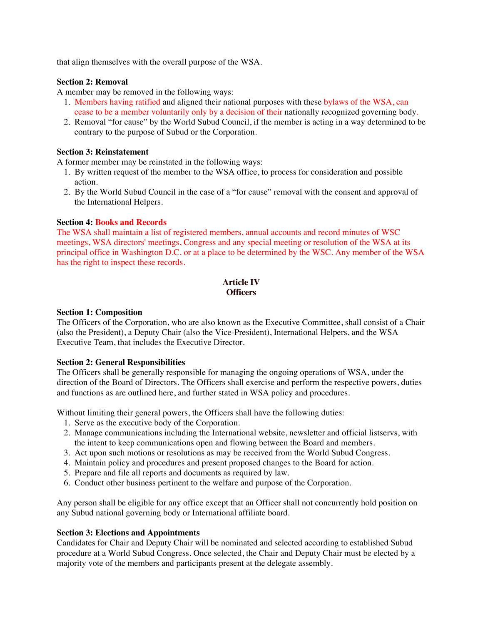that align themselves with the overall purpose of the WSA.

# **Section 2: Removal**

A member may be removed in the following ways:

- 1. Members having ratified and aligned their national purposes with these bylaws of the WSA, can cease to be a member voluntarily only by a decision of their nationally recognized governing body.
- 2. Removal "for cause" by the World Subud Council, if the member is acting in a way determined to be contrary to the purpose of Subud or the Corporation.

# **Section 3: Reinstatement**

A former member may be reinstated in the following ways:

- 1. By written request of the member to the WSA office, to process for consideration and possible action.
- 2. By the World Subud Council in the case of a "for cause" removal with the consent and approval of the International Helpers.

### **Section 4: Books and Records**

The WSA shall maintain a list of registered members, annual accounts and record minutes of WSC meetings, WSA directors' meetings, Congress and any special meeting or resolution of the WSA at its principal office in Washington D.C. or at a place to be determined by the WSC. Any member of the WSA has the right to inspect these records.

# **Article IV Officers**

#### **Section 1: Composition**

The Officers of the Corporation, who are also known as the Executive Committee, shall consist of a Chair (also the President), a Deputy Chair (also the Vice-President), International Helpers, and the WSA Executive Team, that includes the Executive Director.

# **Section 2: General Responsibilities**

The Officers shall be generally responsible for managing the ongoing operations of WSA, under the direction of the Board of Directors. The Officers shall exercise and perform the respective powers, duties and functions as are outlined here, and further stated in WSA policy and procedures.

Without limiting their general powers, the Officers shall have the following duties:

- 1. Serve as the executive body of the Corporation.
- 2. Manage communications including the International website, newsletter and official listservs, with the intent to keep communications open and flowing between the Board and members.
- 3. Act upon such motions or resolutions as may be received from the World Subud Congress.
- 4. Maintain policy and procedures and present proposed changes to the Board for action.
- 5. Prepare and file all reports and documents as required by law.
- 6. Conduct other business pertinent to the welfare and purpose of the Corporation.

Any person shall be eligible for any office except that an Officer shall not concurrently hold position on any Subud national governing body or International affiliate board.

#### **Section 3: Elections and Appointments**

Candidates for Chair and Deputy Chair will be nominated and selected according to established Subud procedure at a World Subud Congress. Once selected, the Chair and Deputy Chair must be elected by a majority vote of the members and participants present at the delegate assembly.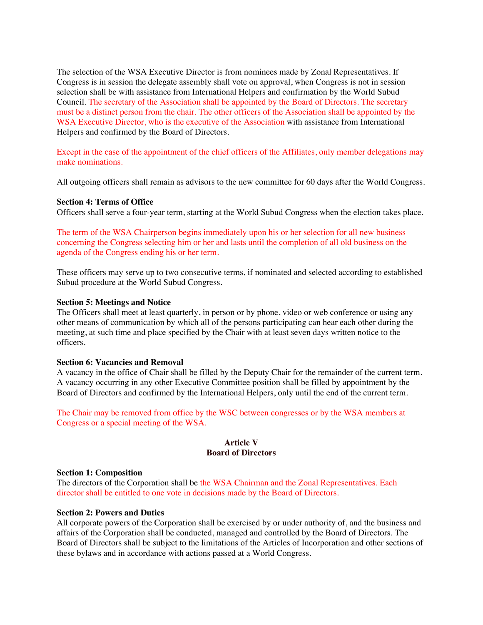The selection of the WSA Executive Director is from nominees made by Zonal Representatives. If Congress is in session the delegate assembly shall vote on approval, when Congress is not in session selection shall be with assistance from International Helpers and confirmation by the World Subud Council. The secretary of the Association shall be appointed by the Board of Directors. The secretary must be a distinct person from the chair. The other officers of the Association shall be appointed by the WSA Executive Director, who is the executive of the Association with assistance from International Helpers and confirmed by the Board of Directors.

Except in the case of the appointment of the chief officers of the Affiliates, only member delegations may make nominations.

All outgoing officers shall remain as advisors to the new committee for 60 days after the World Congress.

### **Section 4: Terms of Office**

Officers shall serve a four-year term, starting at the World Subud Congress when the election takes place.

The term of the WSA Chairperson begins immediately upon his or her selection for all new business concerning the Congress selecting him or her and lasts until the completion of all old business on the agenda of the Congress ending his or her term.

These officers may serve up to two consecutive terms, if nominated and selected according to established Subud procedure at the World Subud Congress.

#### **Section 5: Meetings and Notice**

The Officers shall meet at least quarterly, in person or by phone, video or web conference or using any other means of communication by which all of the persons participating can hear each other during the meeting, at such time and place specified by the Chair with at least seven days written notice to the officers.

#### **Section 6: Vacancies and Removal**

A vacancy in the office of Chair shall be filled by the Deputy Chair for the remainder of the current term. A vacancy occurring in any other Executive Committee position shall be filled by appointment by the Board of Directors and confirmed by the International Helpers, only until the end of the current term.

The Chair may be removed from office by the WSC between congresses or by the WSA members at Congress or a special meeting of the WSA.

# **Article V Board of Directors**

#### **Section 1: Composition**

The directors of the Corporation shall be the WSA Chairman and the Zonal Representatives. Each director shall be entitled to one vote in decisions made by the Board of Directors.

#### **Section 2: Powers and Duties**

All corporate powers of the Corporation shall be exercised by or under authority of, and the business and affairs of the Corporation shall be conducted, managed and controlled by the Board of Directors. The Board of Directors shall be subject to the limitations of the Articles of Incorporation and other sections of these bylaws and in accordance with actions passed at a World Congress.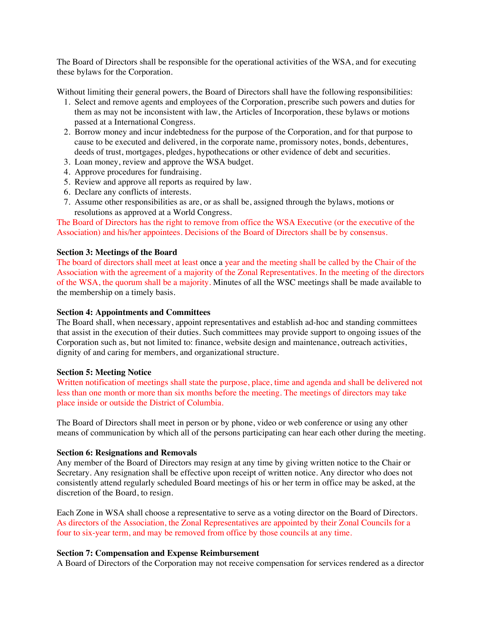The Board of Directors shall be responsible for the operational activities of the WSA, and for executing these bylaws for the Corporation.

Without limiting their general powers, the Board of Directors shall have the following responsibilities:

- 1. Select and remove agents and employees of the Corporation, prescribe such powers and duties for them as may not be inconsistent with law, the Articles of Incorporation, these bylaws or motions passed at a International Congress.
- 2. Borrow money and incur indebtedness for the purpose of the Corporation, and for that purpose to cause to be executed and delivered, in the corporate name, promissory notes, bonds, debentures, deeds of trust, mortgages, pledges, hypothecations or other evidence of debt and securities.
- 3. Loan money, review and approve the WSA budget.
- 4. Approve procedures for fundraising.
- 5. Review and approve all reports as required by law.
- 6. Declare any conflicts of interests.
- 7. Assume other responsibilities as are, or as shall be, assigned through the bylaws, motions or resolutions as approved at a World Congress.

The Board of Directors has the right to remove from office the WSA Executive (or the executive of the Association) and his/her appointees. Decisions of the Board of Directors shall be by consensus.

#### **Section 3: Meetings of the Board**

The board of directors shall meet at least once a year and the meeting shall be called by the Chair of the Association with the agreement of a majority of the Zonal Representatives. In the meeting of the directors of the WSA, the quorum shall be a majority. Minutes of all the WSC meetings shall be made available to the membership on a timely basis.

# **Section 4: Appointments and Committees**

The Board shall, when nec**e**ssary, appoint representatives and establish ad-hoc and standing committees that assist in the execution of their duties. Such committees may provide support to ongoing issues of the Corporation such as, but not limited to: finance, website design and maintenance, outreach activities, dignity of and caring for members, and organizational structure.

#### **Section 5: Meeting Notice**

Written notification of meetings shall state the purpose, place, time and agenda and shall be delivered not less than one month or more than six months before the meeting. The meetings of directors may take place inside or outside the District of Columbia.

The Board of Directors shall meet in person or by phone, video or web conference or using any other means of communication by which all of the persons participating can hear each other during the meeting.

#### **Section 6: Resignations and Removals**

Any member of the Board of Directors may resign at any time by giving written notice to the Chair or Secretary. Any resignation shall be effective upon receipt of written notice. Any director who does not consistently attend regularly scheduled Board meetings of his or her term in office may be asked, at the discretion of the Board, to resign.

Each Zone in WSA shall choose a representative to serve as a voting director on the Board of Directors. As directors of the Association, the Zonal Representatives are appointed by their Zonal Councils for a four to six-year term, and may be removed from office by those councils at any time.

#### **Section 7: Compensation and Expense Reimbursement**

A Board of Directors of the Corporation may not receive compensation for services rendered as a director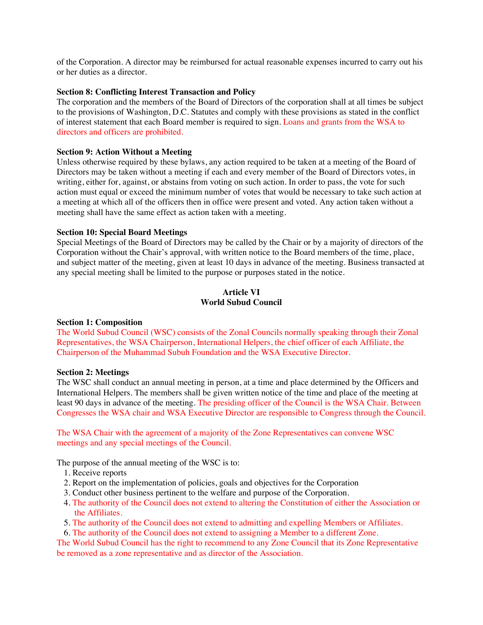of the Corporation. A director may be reimbursed for actual reasonable expenses incurred to carry out his or her duties as a director.

#### **Section 8: Conflicting Interest Transaction and Policy**

The corporation and the members of the Board of Directors of the corporation shall at all times be subject to the provisions of Washington, D.C. Statutes and comply with these provisions as stated in the conflict of interest statement that each Board member is required to sign. Loans and grants from the WSA to directors and officers are prohibited.

### **Section 9: Action Without a Meeting**

Unless otherwise required by these bylaws, any action required to be taken at a meeting of the Board of Directors may be taken without a meeting if each and every member of the Board of Directors votes, in writing, either for, against, or abstains from voting on such action. In order to pass, the vote for such action must equal or exceed the minimum number of votes that would be necessary to take such action at a meeting at which all of the officers then in office were present and voted. Any action taken without a meeting shall have the same effect as action taken with a meeting.

### **Section 10: Special Board Meetings**

Special Meetings of the Board of Directors may be called by the Chair or by a majority of directors of the Corporation without the Chair's approval, with written notice to the Board members of the time, place, and subject matter of the meeting, given at least 10 days in advance of the meeting. Business transacted at any special meeting shall be limited to the purpose or purposes stated in the notice.

# **Article VI World Subud Council**

#### **Section 1: Composition**

The World Subud Council (WSC) consists of the Zonal Councils normally speaking through their Zonal Representatives, the WSA Chairperson, International Helpers, the chief officer of each Affiliate, the Chairperson of the Muhammad Subuh Foundation and the WSA Executive Director.

#### **Section 2: Meetings**

The WSC shall conduct an annual meeting in person, at a time and place determined by the Officers and International Helpers. The members shall be given written notice of the time and place of the meeting at least 90 days in advance of the meeting. The presiding officer of the Council is the WSA Chair. Between Congresses the WSA chair and WSA Executive Director are responsible to Congress through the Council.

The WSA Chair with the agreement of a majority of the Zone Representatives can convene WSC meetings and any special meetings of the Council.

The purpose of the annual meeting of the WSC is to:

- 1. Receive reports
- 2. Report on the implementation of policies, goals and objectives for the Corporation
- 3. Conduct other business pertinent to the welfare and purpose of the Corporation.
- 4. The authority of the Council does not extend to altering the Constitution of either the Association or the Affiliates.
- 5. The authority of the Council does not extend to admitting and expelling Members or Affiliates.
- 6. The authority of the Council does not extend to assigning a Member to a different Zone.

The World Subud Council has the right to recommend to any Zone Council that its Zone Representative be removed as a zone representative and as director of the Association.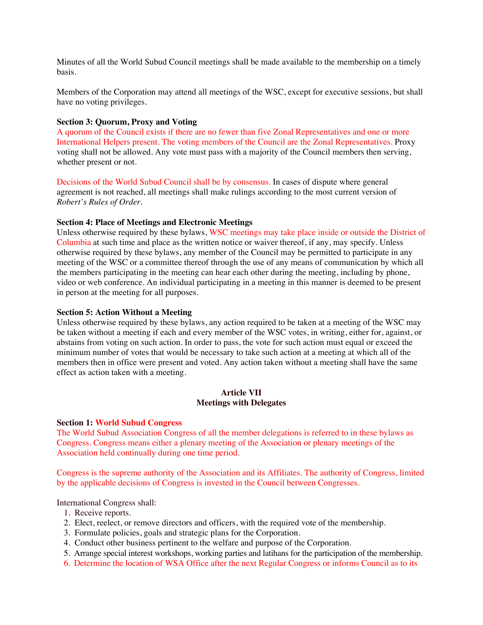Minutes of all the World Subud Council meetings shall be made available to the membership on a timely basis.

Members of the Corporation may attend all meetings of the WSC, except for executive sessions, but shall have no voting privileges.

#### **Section 3: Quorum, Proxy and Voting**

A quorum of the Council exists if there are no fewer than five Zonal Representatives and one or more International Helpers present. The voting members of the Council are the Zonal Representatives. Proxy voting shall not be allowed. Any vote must pass with a majority of the Council members then serving, whether present or not.

Decisions of the World Subud Council shall be by consensus. In cases of dispute where general agreement is not reached, all meetings shall make rulings according to the most current version of *Robert's Rules of Order.*

#### **Section 4: Place of Meetings and Electronic Meetings**

Unless otherwise required by these bylaws, WSC meetings may take place inside or outside the District of Columbia at such time and place as the written notice or waiver thereof, if any, may specify. Unless otherwise required by these bylaws, any member of the Council may be permitted to participate in any meeting of the WSC or a committee thereof through the use of any means of communication by which all the members participating in the meeting can hear each other during the meeting, including by phone, video or web conference. An individual participating in a meeting in this manner is deemed to be present in person at the meeting for all purposes.

#### **Section 5: Action Without a Meeting**

Unless otherwise required by these bylaws, any action required to be taken at a meeting of the WSC may be taken without a meeting if each and every member of the WSC votes, in writing, either for, against, or abstains from voting on such action. In order to pass, the vote for such action must equal or exceed the minimum number of votes that would be necessary to take such action at a meeting at which all of the members then in office were present and voted. Any action taken without a meeting shall have the same effect as action taken with a meeting.

#### **Article VII Meetings with Delegates**

#### **Section 1: World Subud Congress**

The World Subud Association Congress of all the member delegations is referred to in these bylaws as Congress. Congress means either a plenary meeting of the Association or plenary meetings of the Association held continually during one time period.

Congress is the supreme authority of the Association and its Affiliates. The authority of Congress, limited by the applicable decisions of Congress is invested in the Council between Congresses.

International Congress shall:

- 1. Receive reports.
- 2. Elect, reelect, or remove directors and officers, with the required vote of the membership.
- 3. Formulate policies, goals and strategic plans for the Corporation.
- 4. Conduct other business pertinent to the welfare and purpose of the Corporation.
- 5. Arrange special interest workshops, working parties and latihans for the participation of the membership.
- 6. Determine the location of WSA Office after the next Regular Congress or informs Council as to its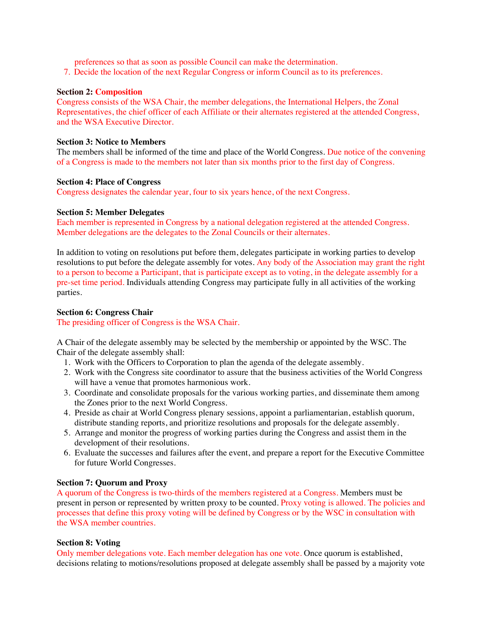preferences so that as soon as possible Council can make the determination.

7. Decide the location of the next Regular Congress or inform Council as to its preferences.

### **Section 2: Composition**

Congress consists of the WSA Chair, the member delegations, the International Helpers, the Zonal Representatives, the chief officer of each Affiliate or their alternates registered at the attended Congress, and the WSA Executive Director.

### **Section 3: Notice to Members**

The members shall be informed of the time and place of the World Congress. Due notice of the convening of a Congress is made to the members not later than six months prior to the first day of Congress.

### **Section 4: Place of Congress**

Congress designates the calendar year, four to six years hence, of the next Congress.

### **Section 5: Member Delegates**

Each member is represented in Congress by a national delegation registered at the attended Congress. Member delegations are the delegates to the Zonal Councils or their alternates.

In addition to voting on resolutions put before them, delegates participate in working parties to develop resolutions to put before the delegate assembly for votes. Any body of the Association may grant the right to a person to become a Participant, that is participate except as to voting, in the delegate assembly for a pre-set time period. Individuals attending Congress may participate fully in all activities of the working parties.

# **Section 6: Congress Chair**

The presiding officer of Congress is the WSA Chair.

A Chair of the delegate assembly may be selected by the membership or appointed by the WSC. The Chair of the delegate assembly shall:

- 1. Work with the Officers to Corporation to plan the agenda of the delegate assembly.
- 2. Work with the Congress site coordinator to assure that the business activities of the World Congress will have a venue that promotes harmonious work.
- 3. Coordinate and consolidate proposals for the various working parties, and disseminate them among the Zones prior to the next World Congress.
- 4. Preside as chair at World Congress plenary sessions, appoint a parliamentarian, establish quorum, distribute standing reports, and prioritize resolutions and proposals for the delegate assembly.
- 5. Arrange and monitor the progress of working parties during the Congress and assist them in the development of their resolutions.
- 6. Evaluate the successes and failures after the event, and prepare a report for the Executive Committee for future World Congresses.

# **Section 7: Quorum and Proxy**

A quorum of the Congress is two-thirds of the members registered at a Congress. Members must be present in person or represented by written proxy to be counted. Proxy voting is allowed. The policies and processes that define this proxy voting will be defined by Congress or by the WSC in consultation with the WSA member countries.

# **Section 8: Voting**

Only member delegations vote. Each member delegation has one vote. Once quorum is established, decisions relating to motions/resolutions proposed at delegate assembly shall be passed by a majority vote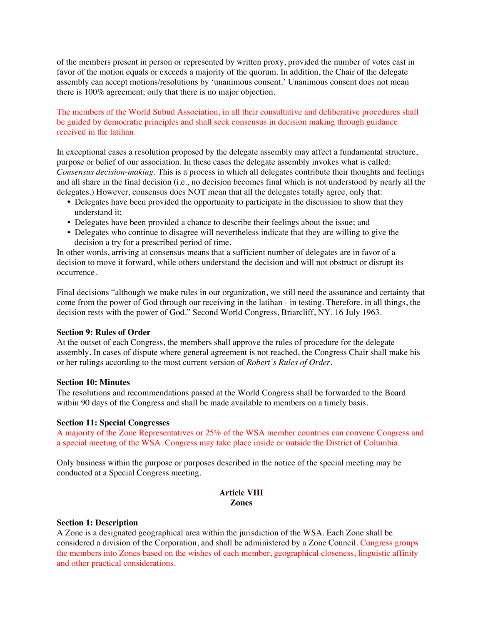of the members present in person or represented by written proxy, provided the number of votes cast in favor of the motion equals or exceeds a majority of the quorum. In addition, the Chair of the delegate assembly can accept motions/resolutions by 'unanimous consent.' Unanimous consent does not mean there is 100% agreement; only that there is no major objection.

The members of the World Subud Association, in all their consultative and deliberative procedures shall be guided by democratic principles and shall seek consensus in decision making through guidance received in the latihan.

In exceptional cases a resolution proposed by the delegate assembly may affect a fundamental structure, purpose or belief of our association. In these cases the delegate assembly invokes what is called: *Consensus decision-making.* This is a process in which all delegates contribute their thoughts and feelings and all share in the final decision (i.e., no decision becomes final which is not understood by nearly all the delegates.) However, consensus does NOT mean that all the delegates totally agree, only that:

- Delegates have been provided the opportunity to participate in the discussion to show that they understand it;
- Delegates have been provided a chance to describe their feelings about the issue; and
- Delegates who continue to disagree will nevertheless indicate that they are willing to give the decision a try for a prescribed period of time.

In other words, arriving at consensus means that a sufficient number of delegates are in favor of a decision to move it forward, while others understand the decision and will not obstruct or disrupt its occurrence.

Final decisions "although we make rules in our organization, we still need the assurance and certainty that come from the power of God through our receiving in the latihan - in testing. Therefore, in all things, the decision rests with the power of God." Second World Congress, Briarcliff, NY. 16 July 1963.

#### **Section 9: Rules of Order**

At the outset of each Congress, the members shall approve the rules of procedure for the delegate assembly. In cases of dispute where general agreement is not reached, the Congress Chair shall make his or her rulings according to the most current version of *Robert's Rules of Order.*

### **Section 10: Minutes**

The resolutions and recommendations passed at the World Congress shall be forwarded to the Board within 90 days of the Congress and shall be made available to members on a timely basis.

#### **Section 11: Special Congresses**

A majority of the Zone Representatives or 25% of the WSA member countries can convene Congress and a special meeting of the WSA. Congress may take place inside or outside the District of Columbia.

Only business within the purpose or purposes described in the notice of the special meeting may be conducted at a Special Congress meeting.

#### **Article VIII Zones**

#### **Section 1: Description**

A Zone is a designated geographical area within the jurisdiction of the WSA. Each Zone shall be considered a division of the Corporation, and shall be administered by a Zone Council. Congress groups the members into Zones based on the wishes of each member, geographical closeness, linguistic affinity and other practical considerations.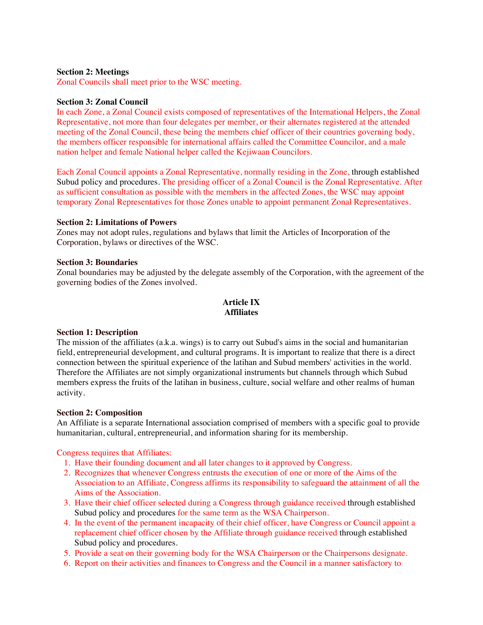# **Section 2: Meetings**

Zonal Councils shall meet prior to the WSC meeting.

### **Section 3: Zonal Council**

In each Zone, a Zonal Council exists composed of representatives of the International Helpers, the Zonal Representative, not more than four delegates per member, or their alternates registered at the attended meeting of the Zonal Council, these being the members chief officer of their countries governing body, the members officer responsible for international affairs called the Committee Councilor, and a male nation helper and female National helper called the Kejiwaan Councilors.

Each Zonal Council appoints a Zonal Representative, normally residing in the Zone, through established Subud policy and procedures. The presiding officer of a Zonal Council is the Zonal Representative. After as sufficient consultation as possible with the members in the affected Zones, the WSC may appoint temporary Zonal Representatives for those Zones unable to appoint permanent Zonal Representatives.

### **Section 2: Limitations of Powers**

Zones may not adopt rules, regulations and bylaws that limit the Articles of Incorporation of the Corporation, bylaws or directives of the WSC.

#### **Section 3: Boundaries**

Zonal boundaries may be adjusted by the delegate assembly of the Corporation, with the agreement of the governing bodies of the Zones involved.

# **Article IX Affiliates**

#### **Section 1: Description**

The mission of the affiliates (a.k.a. wings) is to carry out Subud's aims in the social and humanitarian field, entrepreneurial development, and cultural programs. It is important to realize that there is a direct connection between the spiritual experience of the latihan and Subud members' activities in the world. Therefore the Affiliates are not simply organizational instruments but channels through which Subud members express the fruits of the latihan in business, culture, social welfare and other realms of human activity.

#### **Section 2: Composition**

An Affiliate is a separate International association comprised of members with a specific goal to provide humanitarian, cultural, entrepreneurial, and information sharing for its membership.

# Congress requires that Affiliates:

- 1. Have their founding document and all later changes to it approved by Congress.
- 2. Recognizes that whenever Congress entrusts the execution of one or more of the Aims of the Association to an Affiliate, Congress affirms its responsibility to safeguard the attainment of all the Aims of the Association.
- 3. Have their chief officer selected during a Congress through guidance received through established Subud policy and procedures for the same term as the WSA Chairperson.
- 4. In the event of the permanent incapacity of their chief officer, have Congress or Council appoint a replacement chief officer chosen by the Affiliate through guidance received through established Subud policy and procedures.
- 5. Provide a seat on their governing body for the WSA Chairperson or the Chairpersons designate.
- 6. Report on their activities and finances to Congress and the Council in a manner satisfactory to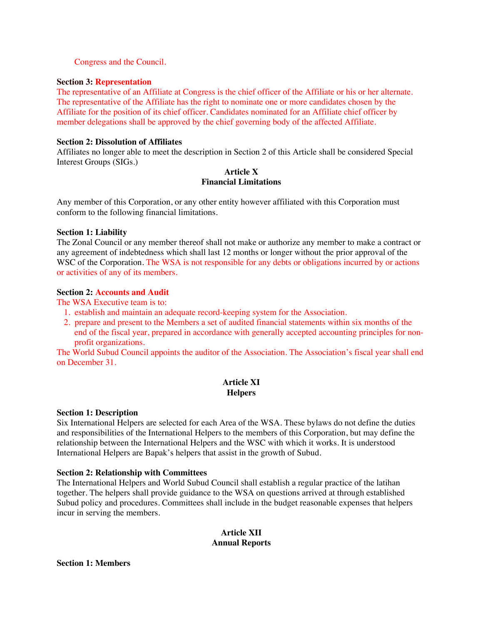### Congress and the Council.

#### **Section 3: Representation**

The representative of an Affiliate at Congress is the chief officer of the Affiliate or his or her alternate. The representative of the Affiliate has the right to nominate one or more candidates chosen by the Affiliate for the position of its chief officer. Candidates nominated for an Affiliate chief officer by member delegations shall be approved by the chief governing body of the affected Affiliate.

### **Section 2: Dissolution of Affiliates**

Affiliates no longer able to meet the description in Section 2 of this Article shall be considered Special Interest Groups (SIGs.)

# **Article X Financial Limitations**

Any member of this Corporation, or any other entity however affiliated with this Corporation must conform to the following financial limitations.

### **Section 1: Liability**

The Zonal Council or any member thereof shall not make or authorize any member to make a contract or any agreement of indebtedness which shall last 12 months or longer without the prior approval of the WSC of the Corporation. The WSA is not responsible for any debts or obligations incurred by or actions or activities of any of its members.

# **Section 2: Accounts and Audit**

The WSA Executive team is to:

- 1. establish and maintain an adequate record-keeping system for the Association.
- 2. prepare and present to the Members a set of audited financial statements within six months of the end of the fiscal year, prepared in accordance with generally accepted accounting principles for nonprofit organizations.

The World Subud Council appoints the auditor of the Association. The Association's fiscal year shall end on December 31.

# **Article XI Helpers**

#### **Section 1: Description**

Six International Helpers are selected for each Area of the WSA. These bylaws do not define the duties and responsibilities of the International Helpers to the members of this Corporation, but may define the relationship between the International Helpers and the WSC with which it works. It is understood International Helpers are Bapak's helpers that assist in the growth of Subud.

# **Section 2: Relationship with Committees**

The International Helpers and World Subud Council shall establish a regular practice of the latihan together. The helpers shall provide guidance to the WSA on questions arrived at through established Subud policy and procedures. Committees shall include in the budget reasonable expenses that helpers incur in serving the members.

### **Article XII Annual Reports**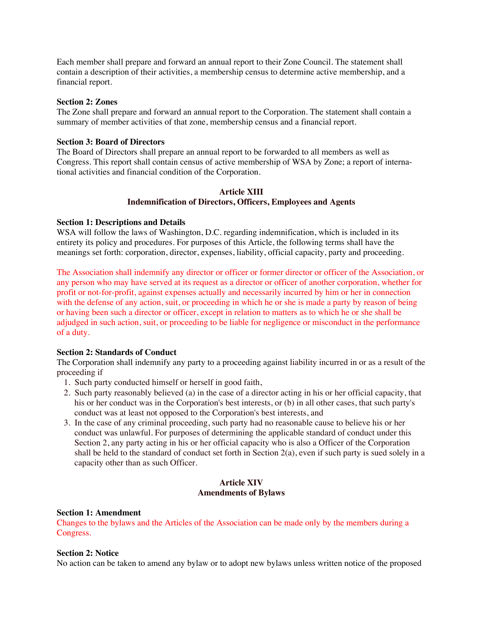Each member shall prepare and forward an annual report to their Zone Council. The statement shall contain a description of their activities, a membership census to determine active membership, and a financial report.

### **Section 2: Zones**

The Zone shall prepare and forward an annual report to the Corporation. The statement shall contain a summary of member activities of that zone, membership census and a financial report.

# **Section 3: Board of Directors**

The Board of Directors shall prepare an annual report to be forwarded to all members as well as Congress. This report shall contain census of active membership of WSA by Zone; a report of international activities and financial condition of the Corporation.

# **Article XIII Indemnification of Directors, Officers, Employees and Agents**

# **Section 1: Descriptions and Details**

WSA will follow the laws of Washington, D.C. regarding indemnification, which is included in its entirety its policy and procedures. For purposes of this Article, the following terms shall have the meanings set forth: corporation, director, expenses, liability, official capacity, party and proceeding.

The Association shall indemnify any director or officer or former director or officer of the Association, or any person who may have served at its request as a director or officer of another corporation, whether for profit or not-for-profit, against expenses actually and necessarily incurred by him or her in connection with the defense of any action, suit, or proceeding in which he or she is made a party by reason of being or having been such a director or officer, except in relation to matters as to which he or she shall be adjudged in such action, suit, or proceeding to be liable for negligence or misconduct in the performance of a duty.

# **Section 2: Standards of Conduct**

The Corporation shall indemnify any party to a proceeding against liability incurred in or as a result of the proceeding if

- 1. Such party conducted himself or herself in good faith,
- 2. Such party reasonably believed (a) in the case of a director acting in his or her official capacity, that his or her conduct was in the Corporation's best interests, or (b) in all other cases, that such party's conduct was at least not opposed to the Corporation's best interests, and
- 3. In the case of any criminal proceeding, such party had no reasonable cause to believe his or her conduct was unlawful. For purposes of determining the applicable standard of conduct under this Section 2, any party acting in his or her official capacity who is also a Officer of the Corporation shall be held to the standard of conduct set forth in Section 2(a), even if such party is sued solely in a capacity other than as such Officer.

# **Article XIV Amendments of Bylaws**

#### **Section 1: Amendment**

Changes to the bylaws and the Articles of the Association can be made only by the members during a Congress.

# **Section 2: Notice**

No action can be taken to amend any bylaw or to adopt new bylaws unless written notice of the proposed